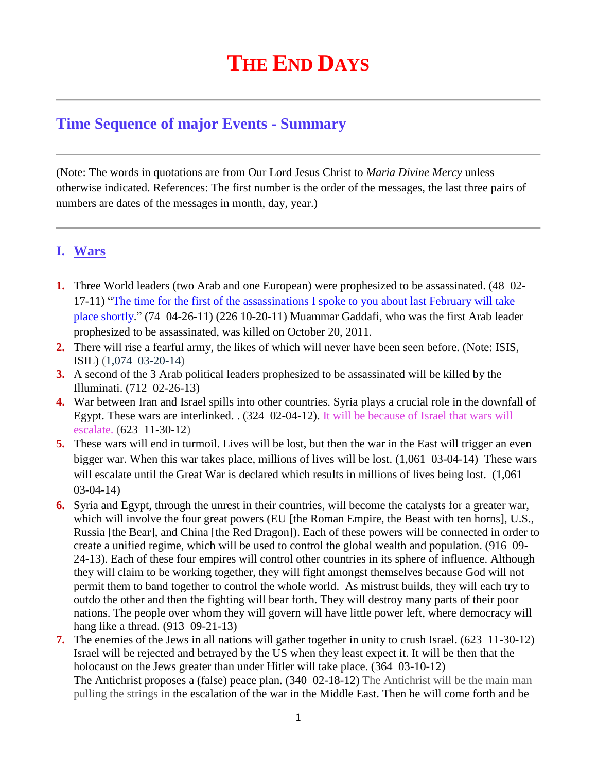# **THE END DAYS**

## **Time Sequence of major Events - Summary**

(Note: The words in quotations are from Our Lord Jesus Christ to *Maria Divine Mercy* unless otherwise indicated. References: The first number is the order of the messages, the last three pairs of numbers are dates of the messages in month, day, year.)

## **I. Wars**

- **1.** Three World leaders (two Arab and one European) were prophesized to be assassinated. (48 02- 17-11) "The time for the first of the assassinations I spoke to you about last February will take place shortly." (74 04-26-11) (226 10-20-11) Muammar Gaddafi, who was the first Arab leader prophesized to be assassinated, was killed on October 20, 2011.
- **2.** There will rise a fearful army, the likes of which will never have been seen before. (Note: ISIS, ISIL) (1,074 03-20-14)
- **3.** A second of the 3 Arab political leaders prophesized to be assassinated will be killed by the Illuminati. (712 02-26-13)
- **4.** War between Iran and Israel spills into other countries. Syria plays a crucial role in the downfall of Egypt. These wars are interlinked. . (324 02-04-12). It will be because of Israel that wars will escalate. (623 11-30-12)
- **5.** These wars will end in turmoil. Lives will be lost, but then the war in the East will trigger an even bigger war. When this war takes place, millions of lives will be lost. (1,061 03-04-14) These wars will escalate until the Great War is declared which results in millions of lives being lost. (1,061) 03-04-14)
- **6.** Syria and Egypt, through the unrest in their countries, will become the catalysts for a greater war, which will involve the four great powers (EU [the Roman Empire, the Beast with ten horns], U.S., Russia [the Bear], and China [the Red Dragon]). Each of these powers will be connected in order to create a unified regime, which will be used to control the global wealth and population. (916 09- 24-13). Each of these four empires will control other countries in its sphere of influence. Although they will claim to be working together, they will fight amongst themselves because God will not permit them to band together to control the whole world. As mistrust builds, they will each try to outdo the other and then the fighting will bear forth. They will destroy many parts of their poor nations. The people over whom they will govern will have little power left, where democracy will hang like a thread. (913 09-21-13)
- **7.** [The enemies of the Jews in all nations will gather together in unity to crush Israel.](http://www.thewarningsecondcoming.com/the-enemies-of-the-jews-in-all-nations-will-gather-together-in-unity-to-crush-israel-2/) (623 11-30-12) Israel will be rejected and betrayed by the US when they least expect it. It will be then that the holocaust on the Jews greater than under Hitler will take place. (364 03-10-12) The Antichrist proposes a (false) peace plan. (340 02-18-12) The Antichrist will be the main man pulling the strings in the escalation of the war in the Middle East. Then he will come forth and be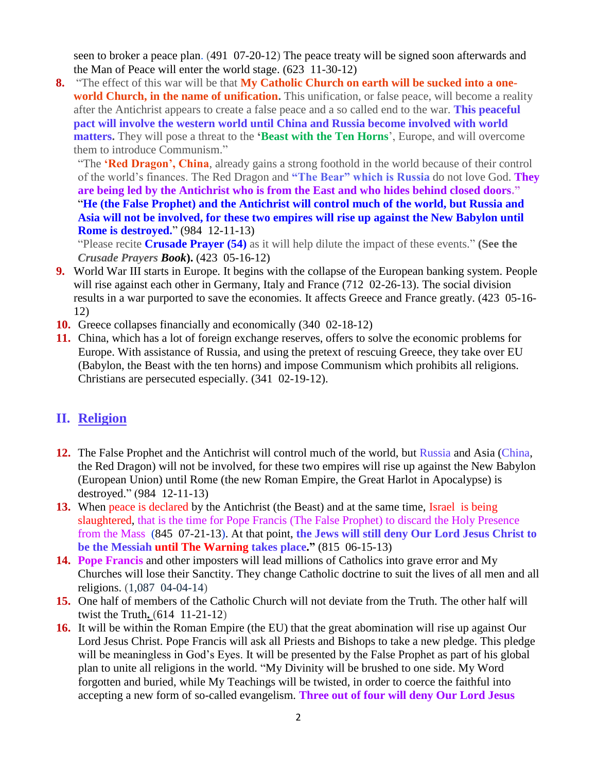seen to broker a peace plan. (491 07-20-12) The peace treaty will be signed soon afterwards and the Man of Peace will enter the world stage. (623 11-30-12)

**8.** "The effect of this war will be that **My Catholic Church on earth will be sucked into a oneworld Church, in the name of unification.** This unification, or false peace, will become a reality after the Antichrist appears to create a false peace and a so called end to the war. **This peaceful pact will involve the western world until China and Russia become involved with world matters.** They will pose a threat to the **'Beast with the Ten Horns**', Europe, and will overcome them to introduce Communism."

"The **'Red Dragon', China**, already gains a strong foothold in the world because of their control of the world's finances. The Red Dragon and **"The Bear" which is Russia** do not love God. **They are being led by the Antichrist who is from the East and who hides behind closed doors."** "**He (the False Prophet) and the Antichrist will control much of the world, but Russia and Asia will not be involved, for these two empires will rise up against the New Babylon until Rome is destroyed.**" (984 12-11-13)

"Please recite **Crusade Prayer (54)** as it will help dilute the impact of these events." **(See the**  *Crusade Prayers Book***).** (423 05-16-12)

- **9.** World War III starts in Europe. It begins with the collapse of the European banking system. People will rise against each other in Germany, Italy and France (712 02-26-13). The social division results in a war purported to save the economies. It affects Greece and France greatly. (423 05-16- 12)
- **10.** Greece collapses financially and economically (340 02-18-12)
- **11.** China, which has a lot of foreign exchange reserves, offers to solve the economic problems for Europe. With assistance of Russia, and using the pretext of rescuing Greece, they take over EU (Babylon, the Beast with the ten horns) and impose Communism which prohibits all religions. Christians are persecuted especially. (341 02-19-12).

## **II. Religion**

- **12.** [The False Prophet and the Antichrist will control much of the world, but Russia](http://www.thewarningsecondcoming.com/mother-of-salvation-they-will-be-granted-honorary-doctorates-in-the-false-prophets-newly-renovated-church/) and Asia (China, [the Red Dragon\) will not be involved, for these two empires will rise up against the New Babylon](http://www.thewarningsecondcoming.com/mother-of-salvation-they-will-be-granted-honorary-doctorates-in-the-false-prophets-newly-renovated-church/)  [\(European Union\) until Rome \(the new Roman Empire, the Great Harlot in Apocalypse\) is](http://www.thewarningsecondcoming.com/mother-of-salvation-they-will-be-granted-honorary-doctorates-in-the-false-prophets-newly-renovated-church/)  [destroyed." \(984 12-11-13\)](http://www.thewarningsecondcoming.com/mother-of-salvation-they-will-be-granted-honorary-doctorates-in-the-false-prophets-newly-renovated-church/)
- **13.** When peace is declared by the Antichrist (the Beast) and at the same time, Israel is being slaughtered, that is the time for Pope Francis (The False Prophet) to discard the Holy Presence from the Mass (845 07-21-13). At that point, **the Jews will still deny Our Lord Jesus Christ to be the Messiah until The Warning takes place."** (815 06-15-13)
- **14. Pope Francis** [and other imposters will lead millions of Catholics into grave error and My](http://www.thewarningsecondcoming.com/they-will-lead-millions-of-catholics-into-grave-error-and-my-churches-will-lose-their-sanctity/)  [Churches will lose their Sanctity.](http://www.thewarningsecondcoming.com/they-will-lead-millions-of-catholics-into-grave-error-and-my-churches-will-lose-their-sanctity/) They change Catholic doctrine to suit the lives of all men and all religions. (1,087 04-04-14)
- **15.** [One half of members of the Catholic Church will not deviate from the Truth. The other half will](http://www.thewarningsecondcoming.com/one-half-will-not-deviate-from-the-truth-the-other-halve-will-twist-the-truth/)  [twist the Truth](http://www.thewarningsecondcoming.com/one-half-will-not-deviate-from-the-truth-the-other-halve-will-twist-the-truth/)**.** (614 11-21-12)
- **16.** [It will be within the Roman Empire \(the EU\) that the great abomination will rise up against O](http://www.thewarningsecondcoming.com/it-will-be-within-the-roman-empire-that-the-great-abomination-will-rise-up-against-me/)ur Lord Jesus Christ. Pope Francis will ask all Priests and Bishops to take a new pledge. This pledge will be meaningless in God's Eyes. It will be presented by the False Prophet as part of his global plan to unite all religions in the world. "My Divinity will be brushed to one side. My Word forgotten and buried, while My Teachings will be twisted, in order to coerce the faithful into accepting a new form of so-called evangelism. **[Three out of four will deny Our Lord Jesus](http://www.thewarningsecondcoming.com/three-of-out-of-four-will-deny-me/)**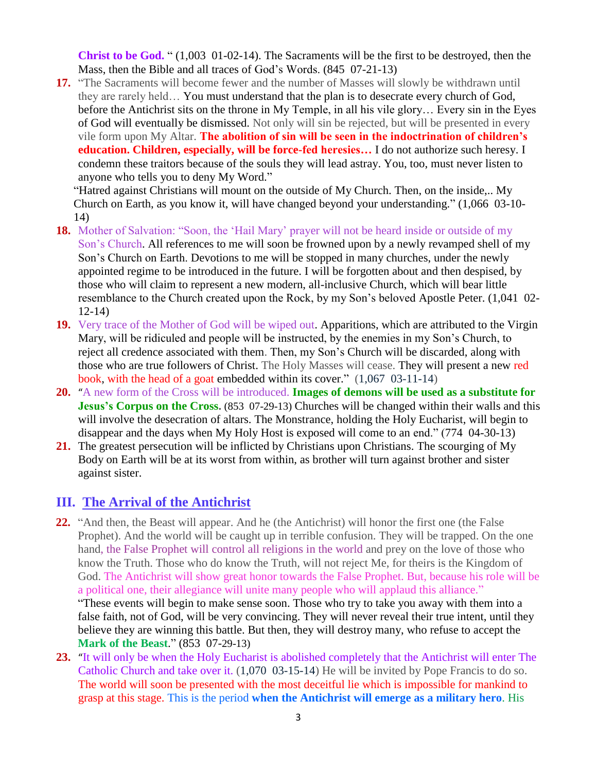**[Christ to be God.](http://www.thewarningsecondcoming.com/three-of-out-of-four-will-deny-me/)** " (1,003 01-02-14). The Sacraments will be the first to be destroyed, then the Mass, then the Bible and all traces of God's Words. (845 07-21-13)

**17.** "The Sacraments will become fewer and the number of Masses will slowly be withdrawn until they are rarely held… You must understand that the plan is to desecrate every church of God, before the Antichrist sits on the throne in My Temple, in all his vile glory… Every sin in the Eyes of God will eventually be dismissed. Not only will sin be rejected, but will be presented in every vile form upon My Altar. **The abolition of sin will be seen in the indoctrination of children's education. Children, especially, will be force-fed heresies…** I do not authorize such heresy. I condemn these traitors because of the souls they will lead astray. You, too, must never listen to anyone who tells you to deny My Word."

"Hatred against Christians will mount on the outside of My Church. Then, on the inside,.. My Church on Earth, as you know it, will have changed beyond your understanding." (1,066 03-10- 14)

- **18.** [Mother of Salvation: "Soon, the 'Hail Mary' prayer will not be heard inside or outside of my](http://www.thewarningsecondcoming.com/mother-of-salvation-soon-the-hail-mary-prayer-will-not-be-heard-inside-or-outside-of-my-sons-church/)  [Son's Church.](http://www.thewarningsecondcoming.com/mother-of-salvation-soon-the-hail-mary-prayer-will-not-be-heard-inside-or-outside-of-my-sons-church/) All references to me will soon be frowned upon by a newly revamped shell of my Son's Church on Earth. Devotions to me will be stopped in many churches, under the newly appointed regime to be introduced in the future. I will be forgotten about and then despised, by those who will claim to represent a new modern, all-inclusive Church, which will bear little resemblance to the Church created upon the Rock, by my Son's beloved Apostle Peter. (1,041 02- 12-14)
- **19.** Very trace of the Mother of God will be wiped out. Apparitions, which are attributed to the Virgin Mary, will be ridiculed and people will be instructed, by the enemies in my Son's Church, to reject all credence associated with them. Then, my Son's Church will be discarded, along with those who are true followers of Christ. The Holy Masses will cease. [They will present a new red](http://www.thewarningsecondcoming.com/mother-of-salvation-they-will-present-a-new-red-book-with-the-head-of-a-goat-embedded-within-its-cover/)  [book, with the head of a goat embedded within its cover.](http://www.thewarningsecondcoming.com/mother-of-salvation-they-will-present-a-new-red-book-with-the-head-of-a-goat-embedded-within-its-cover/)" (1,067 03-11-14)
- **20.** "[A new form of the Cross will be introduced.](http://www.thewarningsecondcoming.com/a-new-form-of-the-cross-will-be-introduced/) **Images of demons will be used as a substitute for Jesus's Corpus on the Cross.** (853 07-29-13) Churches will be changed within their walls and this will involve the desecration of altars. The Monstrance, holding the Holy Eucharist, will begin to disappear and the days when My Holy Host is exposed will come to an end." (774 04-30-13)
- **21.** [The greatest persecution will be inflicted by Christians upon Christians.](http://www.thewarningsecondcoming.com/the-greatest-persecution-will-be-inflicted-by-christians-upon-christians/) The scourging of My Body on Earth will be at its worst from within, as brother will turn against brother and sister against sister.

### **III. The Arrival of the Antichrist**

- **22.** "And then, the Beast will appear. And he (the Antichrist) will honor the first one (the False Prophet). And the world will be caught up in terrible confusion. They will be trapped. On the one hand, the False Prophet will control all religions in the world and prey on the love of those who know the Truth. Those who do know the Truth, will not reject Me, for theirs is the Kingdom of God. The Antichrist will show great honor towards the False Prophet. But, because his role will be a political one, their allegiance will unite many people who will applaud this alliance." "These events will begin to make sense soon. Those who try to take you away with them into a false faith, not of God, will be very convincing. They will never reveal their true intent, until they believe they are winning this battle. But then, they will destroy many, who refuse to accept the **Mark of the Beast.**" (853 07-29-13)
- **23.** "[It will only be when the Holy Eucharist is abolished completely that the Antichrist will enter The](http://www.thewarningsecondcoming.com/it-will-only-be-when-the-holy-eucharist-is-abolished-completely-that-the-antichrist-will-enter-my-church/)  [Catholic Church](http://www.thewarningsecondcoming.com/it-will-only-be-when-the-holy-eucharist-is-abolished-completely-that-the-antichrist-will-enter-my-church/) and take over it. (1,070 03-15-14) He will be invited by Pope Francis to do so. [The world will soon be presented with the most deceitful lie which is impossible for mankind to](http://www.thewarningsecondcoming.com/the-world-will-soon-be-presented-with-the-most-deceitful-lie-which-is-impossible-for-mankind-to-grasp-at-this-stage/)  [grasp at this stage.](http://www.thewarningsecondcoming.com/the-world-will-soon-be-presented-with-the-most-deceitful-lie-which-is-impossible-for-mankind-to-grasp-at-this-stage/) This is the period **when the Antichrist will emerge as a military hero**. His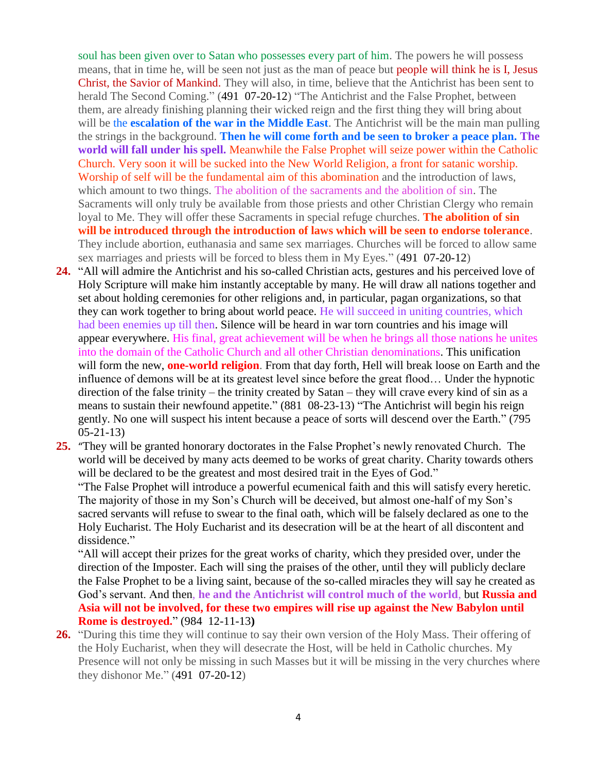soul has been given over to Satan who possesses every part of him. The powers he will possess means, that in time he, will be seen not just as the man of peace but people will think he is I, Jesus Christ, the Savior of Mankind. They will also, in time, believe that the Antichrist has been sent to herald The Second Coming." (491 07-20-12) "The Antichrist and the False Prophet, between them, are already finishing planning their wicked reign and the first thing they will bring about will be the **escalation of the war in the Middle East**. The Antichrist will be the main man pulling the strings in the background. **Then he will come forth and be seen to broker a peace plan. The world will fall under his spell.** Meanwhile the False Prophet will seize power within the Catholic Church. Very soon it will be sucked into the New World Religion, a front for satanic worship. Worship of self will be the fundamental aim of this abomination and the introduction of laws, which amount to two things. The abolition of the sacraments and the abolition of sin. The Sacraments will only truly be available from those priests and other Christian Clergy who remain loyal to Me. They will offer these Sacraments in special refuge churches. **The abolition of sin will be introduced through the introduction of laws which will be seen to endorse tolerance**. They include abortion, euthanasia and same sex marriages. Churches will be forced to allow same sex marriages and priests will be forced to bless them in My Eyes." (491 07-20-12)

- **24.** "All will admire the Antichrist and his so-called Christian acts, gestures and his perceived love of Holy Scripture will make him instantly acceptable by many. He will draw all nations together and set about holding ceremonies for other religions and, in particular, pagan organizations, so that they can work together to bring about world peace. He will succeed in uniting countries, which had been enemies up till then. Silence will be heard in war torn countries and his image will appear everywhere. His final, great achievement will be when he brings all those nations he unites into the domain of the Catholic Church and all other Christian denominations. This unification will form the new, **one-world religion**. From that day forth, Hell will break loose on Earth and the influence of demons will be at its greatest level since before the great flood… Under the hypnotic direction of the false trinity – the trinity created by Satan – they will crave every kind of sin as a means to sustain their newfound appetite." (881 08-23-13) "The Antichrist will begin his reign gently. No one will suspect his intent because a peace of sorts will descend over the Earth." (795 05-21-13)
- **25.** "[They will be granted honorary doctorates in the False Prophet's newly renovated Church.](http://www.thewarningsecondcoming.com/mother-of-salvation-they-will-be-granted-honorary-doctorates-in-the-false-prophets-newly-renovated-church/) The world will be deceived by many acts deemed to be works of great charity. Charity towards others will be declared to be the greatest and most desired trait in the Eyes of God." "The False Prophet will introduce a powerful ecumenical faith and this will satisfy every heretic. The majority of those in my Son's Church will be deceived, but almost one-half of my Son's

sacred servants will refuse to swear to the final oath, which will be falsely declared as one to the Holy Eucharist. The Holy Eucharist and its desecration will be at the heart of all discontent and dissidence."

"All will accept their prizes for the great works of charity, which they presided over, under the direction of the Imposter. Each will sing the praises of the other, until they will publicly declare the False Prophet to be a living saint, because of the so-called miracles they will say he created as God's servant. And then, **he and the Antichrist will control much of the world**, but **Russia and Asia will not be involved, for these two empires will rise up against the New Babylon until Rome is destroyed.**" (984 12-11-13**)**

**26.** "During this time they will continue to say their own version of the Holy Mass. Their offering of the Holy Eucharist, when they will desecrate the Host, will be held in Catholic churches. My Presence will not only be missing in such Masses but it will be missing in the very churches where they dishonor Me." (491 07-20-12)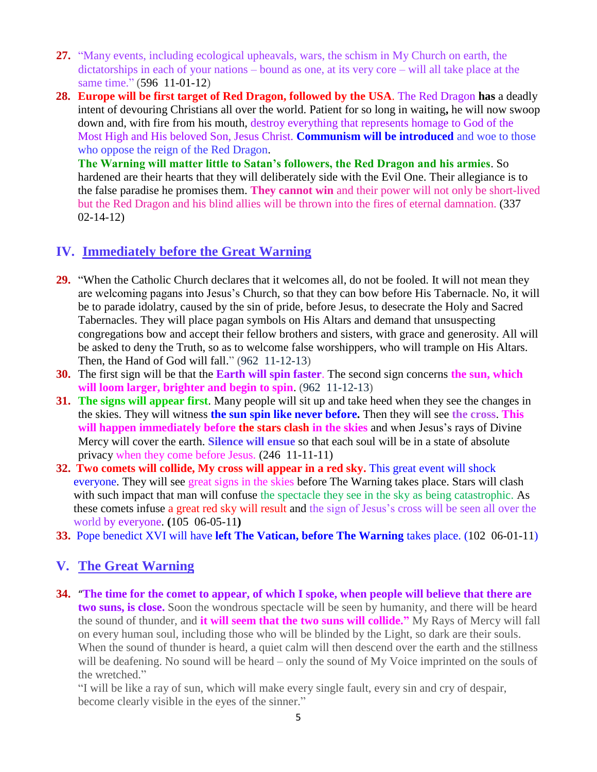- **27.** "Many events, including ecological upheavals, wars, the schism in My Church on earth, the dictatorships in each of your nations – bound as one, at its very core – will all take place at the same time." (596 11-01-12)
- **28. [Europe will be first target of Red Dragon, followed by the USA](http://www.thewarningsecondcoming.com/god-the-father-europe-will-be-first-target-of-red-dragon-followed-by-the-usa/)**. The Red Dragon **has** a deadly intent of devouring Christians all over the world. Patient for so long in waiting**,** he will now swoop down and, with fire from his mouth, destroy everything that represents homage to God of the Most High and His beloved Son, Jesus Christ. **Communism will be introduced** and woe to those who oppose the reign of the Red Dragon.

**The Warning will matter little to Satan's followers, the Red Dragon and his armies**. So hardened are their hearts that they will deliberately side with the Evil One. Their allegiance is to the false paradise he promises them. **They cannot win** and their power will not only be short-lived but the Red Dragon and his blind allies will be thrown into the fires of eternal damnation. (337 02-14-12)

## **IV. Immediately before the Great Warning**

- **29.** "When the Catholic Church declares that it welcomes all, do not be fooled. It will not mean they are welcoming pagans into Jesus's Church, so that they can bow before His Tabernacle. No, it will be to parade idolatry, caused by the sin of pride, before Jesus, to desecrate the Holy and Sacred Tabernacles. They will place pagan symbols on His Altars and demand that unsuspecting congregations bow and accept their fellow brothers and sisters, with grace and generosity. All will be asked to deny the Truth, so as to welcome false worshippers, who will trample on His Altars. Then, the Hand of God will fall." (962 11-12-13)
- **30.** [The first sign will be that the](http://www.thewarningsecondcoming.com/the-first-sign-will-be-that-the-earth-will-spin-faster-the-second-sign-concerns-the-sun-which-will-loom-larger-brighter-and-begin-to-spin/) **Earth will spin faster**. The second sign concerns **the sun, which [will loom larger, brighter and begin to spin](http://www.thewarningsecondcoming.com/the-first-sign-will-be-that-the-earth-will-spin-faster-the-second-sign-concerns-the-sun-which-will-loom-larger-brighter-and-begin-to-spin/)**. (962 11-12-13)
- **31. The signs will appear first**. Many people will sit up and take heed when they see the changes in the skies. They will witness **the sun spin like never before.** Then they will see **the cross**. **This will happen immediately before the stars clash in the skies** and when Jesus's rays of Divine Mercy will cover the earth. **Silence will ensue** so that each soul will be in a state of absolute privacy when they come before Jesus. (246 11-11-11)
- **32. [Two comets will collide, My cross will appear in a red sky.](http://www.thewarningsecondcoming.com/two-comets-will-collide-my-cross-will-appear-in-a-red-sky/)** This great event will shock everyone. They will see great signs in the skies before The Warning takes place. Stars will clash with such impact that man will confuse the spectacle they see in the sky as being catastrophic. As these comets infuse a great red sky will result and the sign of Jesus's cross will be seen all over the world by everyone. **(**105 06-05-11**)**
- **33.** Pope benedict XVI will have **left The Vatican, before The Warning** takes place. (102 06-01-11)

## **V. The Great Warning**

**34.** "**[The time for the comet to appear, of which I spoke, when people will believe that there are](http://www.thewarningsecondcoming.com/the-time-for-the-comet-to-appear-of-which-i-spoke-when-people-will-believe-that-there-are-two-suns-is-close/)  [two suns, is close.](http://www.thewarningsecondcoming.com/the-time-for-the-comet-to-appear-of-which-i-spoke-when-people-will-believe-that-there-are-two-suns-is-close/)** Soon the wondrous spectacle will be seen by humanity, and there will be heard the sound of thunder, and **it will seem that the two suns will collide."** My Rays of Mercy will fall on every human soul, including those who will be blinded by the Light, so dark are their souls. When the sound of thunder is heard, a quiet calm will then descend over the earth and the stillness will be deafening. No sound will be heard – only the sound of My Voice imprinted on the souls of the wretched."

"I will be like a ray of sun, which will make every single fault, every sin and cry of despair, become clearly visible in the eyes of the sinner."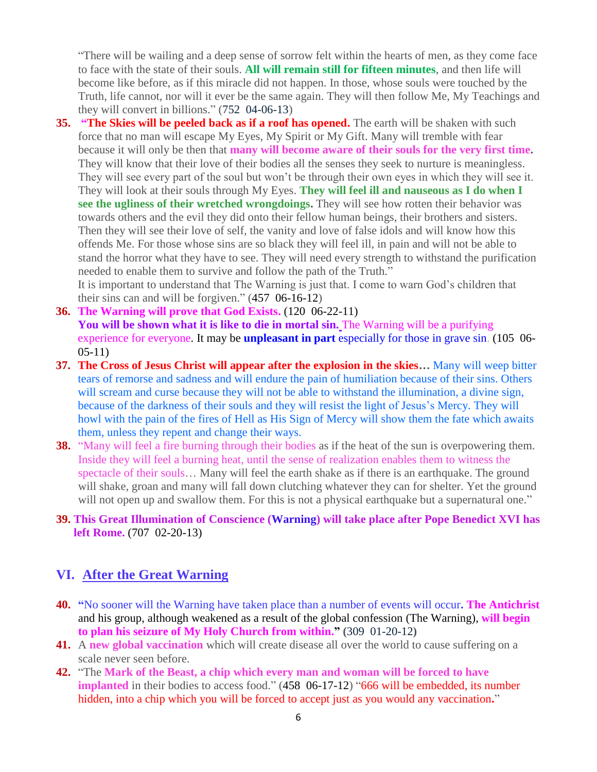"There will be wailing and a deep sense of sorrow felt within the hearts of men, as they come face to face with the state of their souls. **All will remain still for fifteen minutes**, and then life will become like before, as if this miracle did not happen. In those, whose souls were touched by the Truth, life cannot, nor will it ever be the same again. They will then follow Me, My Teachings and they will convert in billions." (752 04-06-13)

**35. ["The Skies will be peeled back as if a roof has opened.](http://www.thewarningsecondcoming.com/the-skies-will-be-peeled-back-as-if-a-roof-has-opened/)** The earth will be shaken with such force that no man will escape My Eyes, My Spirit or My Gift. Many will tremble with fear because it will only be then that **many will become aware of their souls for the very first time.**  They will know that their love of their bodies all the senses they seek to nurture is meaningless. They will see every part of the soul but won't be through their own eyes in which they will see it. They will look at their souls through My Eyes. **They will feel ill and nauseous as I do when I see the ugliness of their wretched wrongdoings.** They will see how rotten their behavior was towards others and the evil they did onto their fellow human beings, their brothers and sisters. Then they will see their love of self, the vanity and love of false idols and will know how this offends Me. For those whose sins are so black they will feel ill, in pain and will not be able to stand the horror what they have to see. They will need every strength to withstand the purification needed to enable them to survive and follow the path of the Truth."

It is important to understand that The Warning is just that. I come to warn God's children that their sins can and will be forgiven." (457 06-16-12)

- **36. [The Warning will prove that God Exists.](http://www.thewarningsecondcoming.com/the-warning-will-prove-that-god-exists/)** (120 06-22-11) **You will be shown what it is like to die in mortal sin.** The Warning will be a purifying experience for everyone. It may be **unpleasant in part** especially for those in grave sin. (105 06- 05-11)
- **37. The Cross of Jesus Christ will appear after the explosion in the skies…** Many will weep bitter tears of remorse and sadness and will endure the pain of humiliation because of their sins. Others will scream and curse because they will not be able to withstand the illumination, a divine sign, because of the darkness of their souls and they will resist the light of Jesus's Mercy. They will howl with the pain of the fires of Hell as His Sign of Mercy will show them the fate which awaits them, unless they repent and change their ways.
- **38.** "Many will feel a fire burning through their bodies as if the heat of the sun is overpowering them. Inside they will feel a burning heat, until the sense of realization enables them to witness the spectacle of their souls… Many will feel the earth shake as if there is an earthquake. The ground will shake, groan and many will fall down clutching whatever they can for shelter. Yet the ground will not open up and swallow them. For this is not a physical earthquake but a supernatural one."

#### **39. [This Great Illumination of Conscience \(Warning\) will take place after Pope Benedict XVI has](http://www.thewarningsecondcoming.com/this-great-illumination-of-conscience-will-take-place-after-my-holy-vicar-has-left-rome/)  left [Rome.](http://www.thewarningsecondcoming.com/this-great-illumination-of-conscience-will-take-place-after-my-holy-vicar-has-left-rome/)** (707 02-20-13)

## **VI. After the Great Warning**

- **40. "**No sooner will the Warning have taken place than a number of events will occur**. The Antichrist**  and his group, although weakened as a result of the global confession (The Warning), **will begin to plan his seizure of My Holy Church from within." (**309 01-20-12**)**
- **41.** A **new global vaccination** which will create disease all over the world to cause suffering on a scale never seen before.
- **42.** "The **Mark of the Beast, a chip which every man and woman will be forced to have implanted** in their bodies to access food." (458 06-17-12) "666 will be embedded, its number [hidden, into a chip which you will be forced to accept just as you would any vaccination](http://www.thewarningsecondcoming.com/666-will-be-embedded-its-number-hidden-into-a-chip-which-you-will-be-forced-to-accept-just-as-you-would-any-vaccination/)**.**"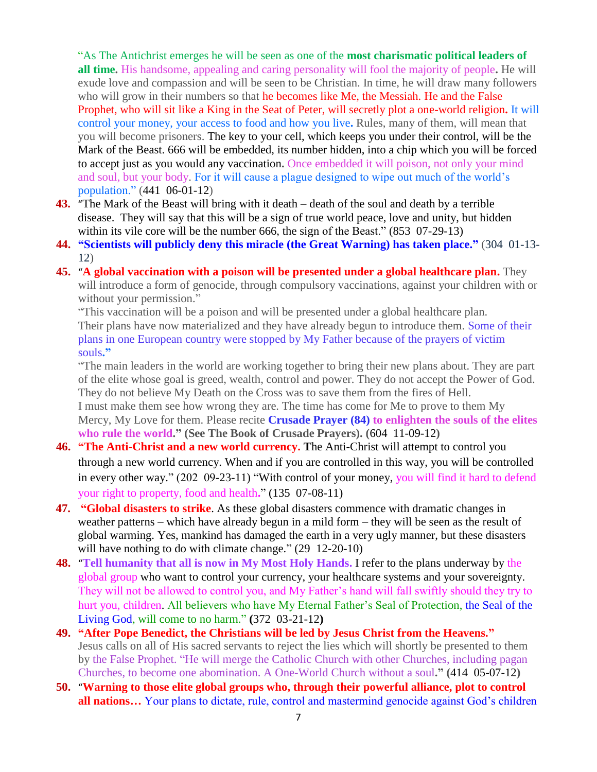"As The Antichrist emerges he will be seen as one of the **most charismatic political leaders of all time.** His handsome, appealing and caring personality will fool the majority of people**.** He will exude love and compassion and will be seen to be Christian. In time, he will draw many followers who will grow in their numbers so that he becomes like Me, the Messiah. He and the False Prophet, who will sit like a King in the Seat of Peter, will secretly plot a one-world religion**.** It will control your money, your access to food and how you live**.** Rules, many of them, will mean that you will become prisoners. The key to your cell, which keeps you under their control, will be the Mark of the Beast. 666 will be embedded, its number hidden, into a chip which you will be forced to accept just as you would any vaccination**.** Once embedded it will poison, not only your mind and soul, but your body. For it will cause a plague designed to wipe out much of the world's population." (441 06-01-12)

- **43.** "[The Mark of the Beast will bring with it death –](http://www.thewarningsecondcoming.com/the-mark-of-the-beast-will-bring-with-it-death-death-of-the-soul-and-death-by-a-terrible-disease/) death of the soul and death by a terrible [disease.](http://www.thewarningsecondcoming.com/the-mark-of-the-beast-will-bring-with-it-death-death-of-the-soul-and-death-by-a-terrible-disease/) They will say that this will be a sign of true world peace, love and unity, but hidden within its vile core will be the number 666, the sign of the Beast." (853 07-29-13)
- **44. ["Scientists will publicly deny this miracle \(the Great Warning\) has taken place.](http://www.thewarningsecondcoming.com/scientists-will-publicly-deny-this-miracle-has-taken-place/)"** (304 01-13- 12)
- **45.** "**[A global vaccination with a poison will be presented under a global healthcare plan.](http://www.thewarningsecondcoming.com/this-vaccination-will-be-a-poison-and-will-be-presented-under-a-global-healthcare-plan/)** They will introduce a form of genocide, through compulsory vaccinations, against your children with or without your permission."

"This vaccination will be a poison and will be presented under a global healthcare plan. Their plans have now materialized and they have already begun to introduce them. Some of their plans in one European country were stopped by My Father because of the prayers of victim souls**."**

"The main leaders in the world are working together to bring their new plans about. They are part of the elite whose goal is greed, wealth, control and power. They do not accept the Power of God. They do not believe My Death on the Cross was to save them from the fires of Hell. I must make them see how wrong they are. The time has come for Me to prove to them My Mercy, My Love for them. Please recite **Crusade Prayer (84) to enlighten the souls of the elites who rule the world." (See The Book of Crusade Prayers). (**604 11-09-12**)**

- **46. "The Anti-Christ and a new world currency. T**he Anti-Christ will attempt to control you through a new world currency. When and if you are controlled in this way, you will be controlled in every other way." (202 09-23-11) "With control of your money, you will find it hard to defend your right to property, food and health**.**" (135 07-08-11)
- **47. "Global disasters to strike**. As these global disasters commence with dramatic changes in weather patterns – which have already begun in a mild form – they will be seen as the result of global warming. Yes, mankind has damaged the earth in a very ugly manner, but these disasters will have nothing to do with climate change." (29 12-20-10)
- **48.** "**[Tell humanity that all is now in My Most Holy Hands.](http://www.thewarningsecondcoming.com/tell-humanity-that-all-is-now-in-my-most-holy-hands/)** I refer to the plans underway by the global group who want to control your currency, your healthcare systems and your sovereignty. They will not be allowed to control you, and My Father's hand will fall swiftly should they try to hurt you, children. All believers who have My Eternal Father's Seal of Protection, the Seal of the Living God, will come to no harm." **(**372 03-21-12**)**
- **49. "After Pope Benedict, the Christians will be led by Jesus Christ from the Heavens."** Jesus calls on all of His sacred servants to reject the lies which will shortly be presented to them by the False Prophet. "He will merge the Catholic Church with other Churches, including pagan Churches, to become one abomination. A One-World Church without a soul**." (**414 05-07-12**)**
- **50.** "**[Warning to those elite global groups who, through their powerful alliance, plot to control](http://www.thewarningsecondcoming.com/warning-to-those-elite-global-groups-who-through-their-powerful-alliance-plot-to-control-all-nations/)  all nations...** Your plans to dictate, rule, control and mastermind genocide against God's children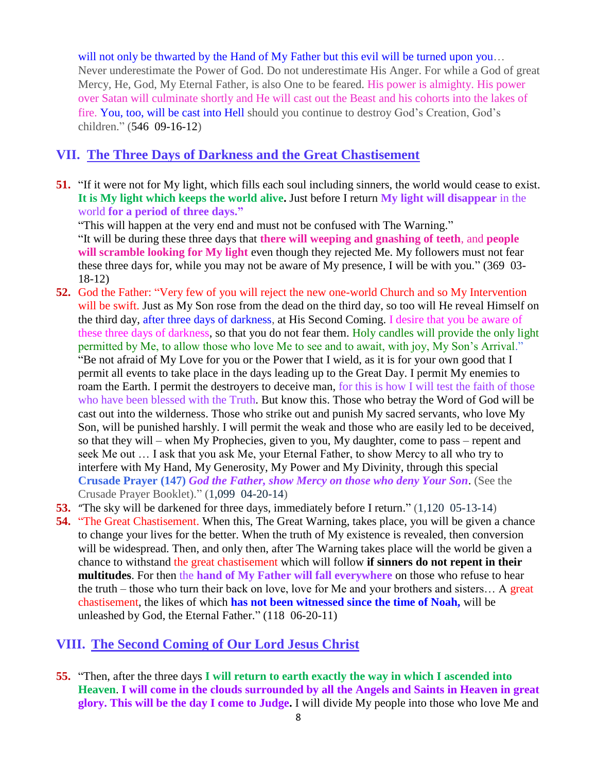will not only be thwarted by the Hand of My Father but this evil will be turned upon you… Never underestimate the Power of God. Do not underestimate His Anger. For while a God of great Mercy, He, God, My Eternal Father, is also One to be feared. His power is almighty. His power over Satan will culminate shortly and He will cast out the Beast and his cohorts into the lakes of fire. You, too, will be cast into Hell should you continue to destroy God's Creation, God's children." (546 09-16-12)

## **VII. The Three Days of Darkness and the Great Chastisement**

**51.** "If it were not for My light, which fills each soul including sinners, the world would cease to exist. **It is My light which keeps the world alive.** Just before I return **My light will disappear** in the world **for a period of three days."**

"This will happen at the very end and must not be confused with The Warning." "It will be during these three days that **there will weeping and gnashing of teeth**, and **people will scramble looking for My light** even though they rejected Me. My followers must not fear these three days for, while you may not be aware of My presence, I will be with you." (369 03- 18-12)

- **52.** [God the Father: "Very few of you will reject the new one-world Church and so My Intervention](http://www.thewarningsecondcoming.com/god-the-father-very-few-of-you-will-reject-the-new-one-world-church-and-so-my-intervention-will-be-swift/)  [will be swift.](http://www.thewarningsecondcoming.com/god-the-father-very-few-of-you-will-reject-the-new-one-world-church-and-so-my-intervention-will-be-swift/) Just as My Son rose from the dead on the third day, so too will He reveal Himself on the third day, after three days of darkness, at His Second Coming. I desire that you be aware of these three days of darkness, so that you do not fear them. Holy candles will provide the only light permitted by Me, to allow those who love Me to see and to await, with joy, My Son's Arrival." "Be not afraid of My Love for you or the Power that I wield, as it is for your own good that I permit all events to take place in the days leading up to the Great Day. I permit My enemies to roam the Earth. I permit the destroyers to deceive man, for this is how I will test the faith of those who have been blessed with the Truth. But know this. Those who betray the Word of God will be cast out into the wilderness. Those who strike out and punish My sacred servants, who love My Son, will be punished harshly. I will permit the weak and those who are easily led to be deceived, so that they will – when My Prophecies, given to you, My daughter, come to pass – repent and seek Me out … I ask that you ask Me, your Eternal Father, to show Mercy to all who try to interfere with My Hand, My Generosity, My Power and My Divinity, through this special **Crusade Prayer (147)** *God the Father, show Mercy on those who deny Your Son*. (See the Crusade Prayer Booklet)." (1,099 04-20-14)
- **53.** "The sky will [be darkened for three days, immediately before I return.](http://www.thewarningsecondcoming.com/the-sky-will-be-darkened-for-three-days-immediately-before-i-return/)" (1,120 05-13-14)
- **54.** "The Great Chastisement. When this, The Great Warning, takes place, you will be given a chance to change your lives for the better. When the truth of My existence is revealed, then conversion will be widespread. Then, and only then, after The Warning takes place will the world be given a chance to withstand the great chastisement which will follow **if sinners do not repent in their multitudes**. For then the **hand of My Father will fall everywhere** on those who refuse to hear the truth – those who turn their back on love, love for Me and your brothers and sisters… A great chastisement, the likes of which **has not been witnessed since the time of Noah,** will be unleashed by God, the Eternal Father." (118 06-20-11)

## **VIII. The Second Coming of Our Lord Jesus Christ**

**55.** "Then, after the three days **I will return to earth exactly the way in which I ascended into Heaven**. **I will come in the clouds surrounded by all the Angels and Saints in Heaven in great glory. This will be the day I come to Judge.** I will divide My people into those who love Me and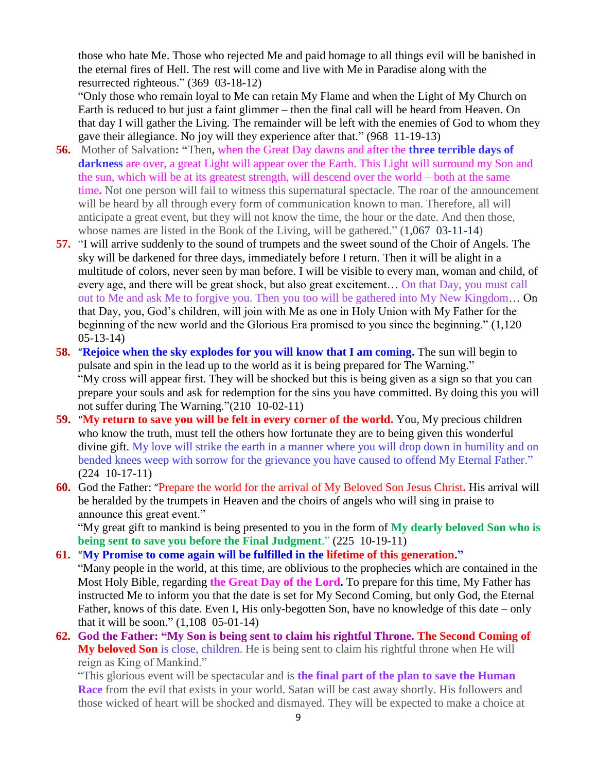those who hate Me. Those who rejected Me and paid homage to all things evil will be banished in the eternal fires of Hell. The rest will come and live with Me in Paradise along with the resurrected righteous." (369 03-18-12)

"Only those who remain loyal to Me can retain My Flame and when the Light of My Church on Earth is reduced to but just a faint glimmer – then the final call will be heard from Heaven. On that day I will gather the Living. The remainder will be left with the enemies of God to whom they gave their allegiance. No joy will they experience after that." (968 11-19-13)

- **56.** Mother of Salvation**: "**Then**,** when the Great Day dawns and after the **three terrible days of darkness** are over, a great Light will appear over the Earth. This Light will surround my Son and the sun, which will be at its greatest strength, will descend over the world – both at the same time**.** Not one person will fail to witness this supernatural spectacle. The roar of the announcement will be heard by all through every form of communication known to man. Therefore, all will anticipate a great event, but they will not know the time, the hour or the date. And then those, whose names are listed in the Book of the Living, will be gathered." (1,067 03-11-14)
- **57.** "I will arrive suddenly to the sound of trumpets and the sweet sound of the Choir of Angels. The sky will be darkened for three days, immediately before I return. Then it will be alight in a multitude of colors, never seen by man before. I will be visible to every man, woman and child, of every age, and there will be great shock, but also great excitement… On that Day, you must call out to Me and ask Me to forgive you. Then you too will be gathered into My New Kingdom… On that Day, you, God's children, will join with Me as one in Holy Union with My Father for the beginning of the new world and the Glorious Era promised to you since the beginning." (1,120 05-13-14)
- **58.** "**[Rejoice when the sky explodes for you will know that I am coming.](http://www.thewarningsecondcoming.com/rejoice-when-the-sky-explodes-for-you-will-know-that-i-am-coming/)** The sun will begin to pulsate and spin in the lead up to the world as it is being prepared for The Warning." "My cross will appear first. They will be shocked but this is being given as a sign so that you can prepare your souls and ask for redemption for the sins you have committed. By doing this you will not suffer during The Warning."(210 10-02-11)
- **59.** "**[My return to save you will be felt in every corner of the world.](http://www.thewarningsecondcoming.com/my-return-to-save-you-will-be-felt-in-every-corner-of-the-world/)** You, My precious children who know the truth, must tell the others how fortunate they are to being given this wonderful divine gift. My love will strike the earth in a manner where you will drop down in humility and on bended knees weep with sorrow for the grievance you have caused to offend My Eternal Father." (224 10-17-11)
- **60.** God the Father: "[Prepare the world for the arrival of My Beloved Son Jesus Christ](http://www.thewarningsecondcoming.com/god-the-father-prepare-the-world-for-the-arrival-of-my-beloved-son-jesus-christ/)**.** His arrival will be heralded by the trumpets in Heaven and the choirs of angels who will sing in praise to announce this great event."

"My great gift to mankind is being presented to you in the form of **My dearly beloved Son who is being sent to save you before the Final Judgment**." (225 10-19-11)

**61.** "**[My Promise to come again will be fulfilled in the lifetime of this generation.](http://www.thewarningsecondcoming.com/my-promise-to-come-again-will-be-fulfilled-in-the-lifetime-of-this-generation/)"**

"Many people in the world, at this time, are oblivious to the prophecies which are contained in the Most Holy Bible, regarding **the Great Day of the Lord.** To prepare for this time, My Father has instructed Me to inform you that the date is set for My Second Coming, but only God, the Eternal Father, knows of this date. Even I, His only-begotten Son, have no knowledge of this date – only that it will be soon." (1,108 05-01-14)

**62. [God the Father: "My Son is being sent to claim his rightful Throne.](http://www.thewarningsecondcoming.com/god-the-father-my-son-is-being-sent-to-claim-his-rightful-throne-2/) The Second Coming of My beloved Son** is close, children. He is being sent to claim his rightful throne when He will reign as King of Mankind."

"This glorious event will be spectacular and is **the final part of the plan to save the Human Race** from the evil that exists in your world. Satan will be cast away shortly. His followers and those wicked of heart will be shocked and dismayed. They will be expected to make a choice at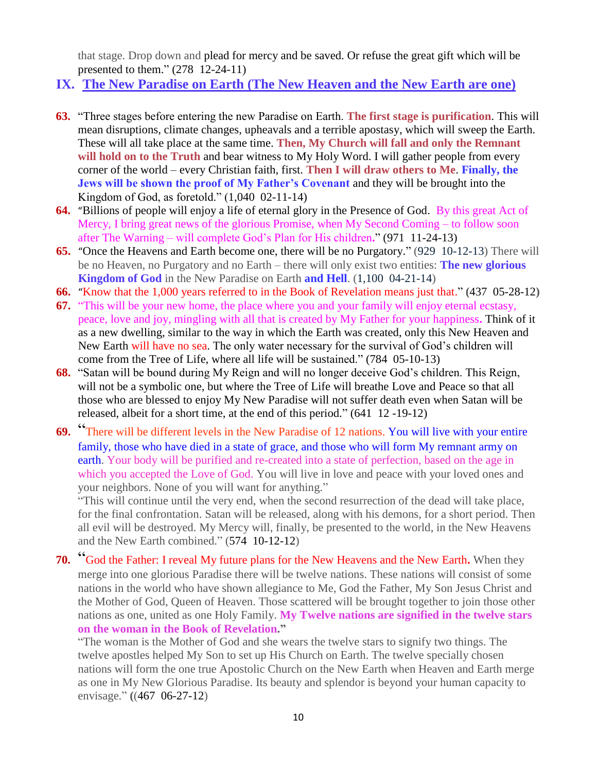that stage. Drop down and plead for mercy and be saved. Or refuse the great gift which will be presented to them." (278 12-24-11)

- **IX. The New Paradise on Earth (The New Heaven and the New Earth are one)**
- **63.** "Three stages before entering the new Paradise on Earth. **The first stage is purification**. This will mean disruptions, climate changes, upheavals and a terrible apostasy, which will sweep the Earth. These will all take place at the same time. **Then, My Church will fall and only the Remnant**  will hold on to the Truth and bear witness to My Holy Word. I will gather people from every corner of the world – every Christian faith, first. **Then I will draw others to Me**. **Finally, the Jews will be shown the proof of My Father's Covenant** and they will be brought into the Kingdom of God, as foretold." (1,040 02-11-14)
- **64.** "Billions of [people will enjoy a life of eternal glory in the Presence of God.](http://www.thewarningsecondcoming.com/billions-of-people-will-enjoy-a-life-of-eternal-glory-in-the-presence-of-god/)By this great Act of Mercy, I bring great news of the glorious Promise, when My Second Coming – to follow soon after The Warning – will complete God's Plan for His children**.**" (971 11-24-13)
- **65.** "[Once the Heavens and Earth become one, there will be no Purgatory.](http://www.thewarningsecondcoming.com/once-the-heavens-and-earth-become-one-there-will-be-no-purgatory/)" (929 10-12-13) There will be no Heaven, no Purgatory and no Earth – there will only exist two entities: **The new glorious Kingdom of God** in the New Paradise on Earth **and Hell**. (1,100 04-21-14)
- **66.** "[Know that the 1,000 years referred to in the Book of Revelation means just that.](http://www.thewarningsecondcoming.com/know-that-the-1000-years-referred-to-in-the-book-of-revelation-means-just-that/)" **(**437 05-28-12**)**
- **67.** "This will be your new home, the place where you and your family will enjoy eternal ecstasy, peace, love and joy, mingling with all that is created by My Father for your happiness**.** Think of it as a new dwelling, similar to the way in which the Earth was created, only this New Heaven and New Earth will have no sea. The only water necessary for the survival of God's children will come from the Tree of Life, where all life will be sustained." (784 05-10-13)
- **68.** "Satan will be bound during My Reign and will no longer deceive God's children. This Reign, will not be a symbolic one, but where the Tree of Life will breathe Love and Peace so that all those who are blessed to enjoy My New Paradise will not suffer death even when Satan will be released, albeit for a short time, at the end of this period." (641 12 -19-12)
- **69.** "[There will be different levels in the New Paradise](http://www.thewarningsecondcoming.com/there-will-be-different-levels-in-the-new-paradise-of-12-nations/) of 12 nations. You will live with your entire family, those who have died in a state of grace, and those who will form My remnant army on earth. Your body will be purified and re-created into a state of perfection, based on the age in which you accepted the Love of God. You will live in love and peace with your loved ones and your neighbors. None of you will want for anything."

"This will continue until the very end, when the second resurrection of the dead will take place, for the final confrontation. Satan will be released, along with his demons, for a short period. Then all evil will be destroyed. My Mercy will, finally, be presented to the world, in the New Heavens and the New Earth combined." (574 10-12-12)

**70.** "[God the Father: I reveal My future plans for the New Heavens and the New Earth](http://www.thewarningsecondcoming.com/god-the-father-i-reveal-my-future-plans-for-the-new-heavens-and-the-new-earth/)**.** When they merge into one glorious Paradise there will be twelve nations. These nations will consist of some nations in the world who have shown allegiance to Me, God the Father, My Son Jesus Christ and the Mother of God, Queen of Heaven. Those scattered will be brought together to join those other nations as one, united as one Holy Family. **My Twelve nations are signified in the twelve stars on the woman in the Book of Revelation."**

"The woman is the Mother of God and she wears the twelve stars to signify two things. The twelve apostles helped My Son to set up His Church on Earth. The twelve specially chosen nations will form the one true Apostolic Church on the New Earth when Heaven and Earth merge as one in My New Glorious Paradise. Its beauty and splendor is beyond your human capacity to envisage." **(**(467 06-27-12)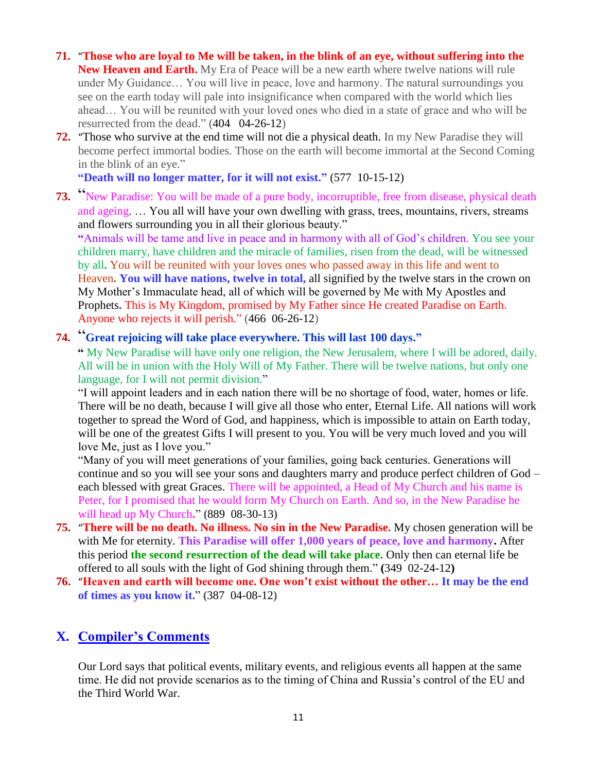- **71.** "**[Those who are loyal to Me will be taken, in the blink of an eye, without suffering into the](http://www.thewarningsecondcoming.com/those-who-are-loyal-to-me-will-be-taken-in-the-blink-of-an-eye-without-suffering-into-the-new-heaven-and-earth/)  [New Heaven and Earth.](http://www.thewarningsecondcoming.com/those-who-are-loyal-to-me-will-be-taken-in-the-blink-of-an-eye-without-suffering-into-the-new-heaven-and-earth/)** My Era of Peace will be a new earth where twelve nations will rule under My Guidance… You will live in peace, love and harmony. The natural surroundings you see on the earth today will pale into insignificance when compared with the world which lies ahead… You will be reunited with your loved ones who died in a state of grace and who will be resurrected from the dead." (404 04-26-12)
- **72.** "[Those who survive at the end time will not die a physical death.](http://www.thewarningsecondcoming.com/those-who-survive-at-the-end-time-will-not-die-a-physical-death/) In my New Paradise they will become perfect immortal bodies. Those on the earth will become immortal at the Second Coming in the blink of an eye."

**"Death will no longer matter, for it will not exist."** (577 10-15-12)

**73.** "[New Paradise: You will be made of a pure body, incorruptible, free from](http://www.thewarningsecondcoming.com/new-paradise-you-will-be-made-of-a-pure-body-incorruptible-free-from-disease-physical-death-and-ageing/) disease, physical death [and ageing.](http://www.thewarningsecondcoming.com/new-paradise-you-will-be-made-of-a-pure-body-incorruptible-free-from-disease-physical-death-and-ageing/) … You all will have your own dwelling with grass, trees, mountains, rivers, streams and flowers surrounding you in all their glorious beauty."

**"**Animals will be tame and live in peace and in harmony with all of God's children. You see your children marry, have children and the miracle of families, risen from the dead, will be witnessed by all**.** You will be reunited with your loves ones who passed away in this life and went to Heaven**. You will have nations, twelve in total,** all signified by the twelve stars in the crown on My Mother's Immaculate head, all of which will be governed by Me with My Apostles and Prophets**.** This is My Kingdom, promised by My Father since He created Paradise on Earth. Anyone who rejects it will perish." (466 06-26-12)

## **74.** "**[Great rejoicing will take place everywhere. This will last 100 days.](http://www.thewarningsecondcoming.com/great-rejoicing-will-take-place-everywhere-this-will-last-100-days-2/)"**

**"** My New Paradise will have only one religion, the New Jerusalem, where I will be adored, daily. All will be in union with the Holy Will of My Father. There will be twelve nations, but only one language, for I will not permit division."

"I will appoint leaders and in each nation there will be no shortage of food, water, homes or life. There will be no death, because I will give all those who enter, Eternal Life. All nations will work together to spread the Word of God, and happiness, which is impossible to attain on Earth today, will be one of the greatest Gifts I will present to you. You will be very much loved and you will love Me, just as I love you."

"Many of you will meet generations of your families, going back centuries. Generations will continue and so you will see your sons and daughters marry and produce perfect children of God – each blessed with great Graces. There will be appointed, a Head of My Church and his name is Peter, for I promised that he would form My Church on Earth. And so, in the New Paradise he will head up My Church**.**" **(**889 08-30-13**)**

- **75.** "**[There will be no death. No illness. No sin in the New Paradise.](http://www.thewarningsecondcoming.com/there-will-be-no-death-no-illness-no-sin-in-the-new-paradise/)** My chosen generation will be with Me for eternity. **This Paradise will offer 1,000 years of peace, love and harmony.** After this period **the second resurrection of the dead will take place.** Only then can eternal life be offered to all souls with the light of God shining through them." **(**349 02-24-12**)**
- **76.** "**[Heaven and earth will become one. One won't exist without the other…](http://www.thewarningsecondcoming.com/heaven-and-earth-will-become-one-one-wont-exist-without-the-other/) It may be the end of times as you know it.**" **(**387 04-08-12**)**

## **X. Compiler's Comments**

Our Lord says that political events, military events, and religious events all happen at the same time. He did not provide scenarios as to the timing of China and Russia's control of the EU and the Third World War.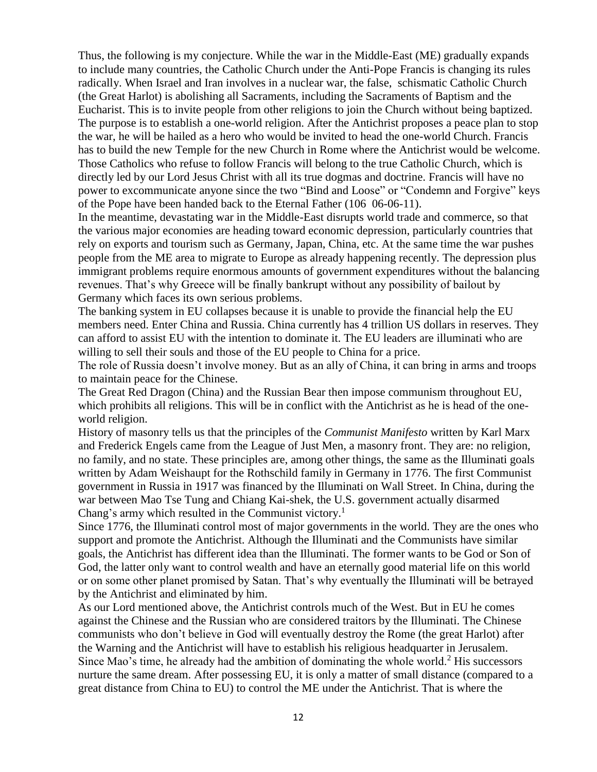Thus, the following is my conjecture. While the war in the Middle-East (ME) gradually expands to include many countries, the Catholic Church under the Anti-Pope Francis is changing its rules radically. When Israel and Iran involves in a nuclear war, the false, schismatic Catholic Church (the Great Harlot) is abolishing all Sacraments, including the Sacraments of Baptism and the Eucharist. This is to invite people from other religions to join the Church without being baptized. The purpose is to establish a one-world religion. After the Antichrist proposes a peace plan to stop the war, he will be hailed as a hero who would be invited to head the one-world Church. Francis has to build the new Temple for the new Church in Rome where the Antichrist would be welcome. Those Catholics who refuse to follow Francis will belong to the true Catholic Church, which is directly led by our Lord Jesus Christ with all its true dogmas and doctrine. Francis will have no power to excommunicate anyone since the two "Bind and Loose" or "Condemn and Forgive" keys of the Pope have been handed back to the Eternal Father (106 06-06-11).

In the meantime, devastating war in the Middle-East disrupts world trade and commerce, so that the various major economies are heading toward economic depression, particularly countries that rely on exports and tourism such as Germany, Japan, China, etc. At the same time the war pushes people from the ME area to migrate to Europe as already happening recently. The depression plus immigrant problems require enormous amounts of government expenditures without the balancing revenues. That's why Greece will be finally bankrupt without any possibility of bailout by Germany which faces its own serious problems.

The banking system in EU collapses because it is unable to provide the financial help the EU members need. Enter China and Russia. China currently has 4 trillion US dollars in reserves. They can afford to assist EU with the intention to dominate it. The EU leaders are illuminati who are willing to sell their souls and those of the EU people to China for a price.

The role of Russia doesn't involve money. But as an ally of China, it can bring in arms and troops to maintain peace for the Chinese.

The Great Red Dragon (China) and the Russian Bear then impose communism throughout EU, which prohibits all religions. This will be in conflict with the Antichrist as he is head of the oneworld religion.

History of masonry tells us that the principles of the *Communist Manifesto* written by Karl Marx and Frederick Engels came from the League of Just Men, a masonry front. They are: no religion, no family, and no state. These principles are, among other things, the same as the Illuminati goals written by Adam Weishaupt for the Rothschild family in Germany in 1776. The first Communist government in Russia in 1917 was financed by the Illuminati on Wall Street. In China, during the war between Mao Tse Tung and Chiang Kai-shek, the U.S. government actually disarmed Chang's army which resulted in the Communist victory.<sup>1</sup>

Since 1776, the Illuminati control most of major governments in the world. They are the ones who support and promote the Antichrist. Although the Illuminati and the Communists have similar goals, the Antichrist has different idea than the Illuminati. The former wants to be God or Son of God, the latter only want to control wealth and have an eternally good material life on this world or on some other planet promised by Satan. That's why eventually the Illuminati will be betrayed by the Antichrist and eliminated by him.

As our Lord mentioned above, the Antichrist controls much of the West. But in EU he comes against the Chinese and the Russian who are considered traitors by the Illuminati. The Chinese communists who don't believe in God will eventually destroy the Rome (the great Harlot) after the Warning and the Antichrist will have to establish his religious headquarter in Jerusalem. Since Mao's time, he already had the ambition of dominating the whole world.<sup>2</sup> His successors nurture the same dream. After possessing EU, it is only a matter of small distance (compared to a great distance from China to EU) to control the ME under the Antichrist. That is where the